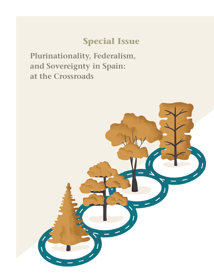# **Special Issue**

**Plurinationality, Federalism, and Sovereignty in Spain: at the Crossroads**

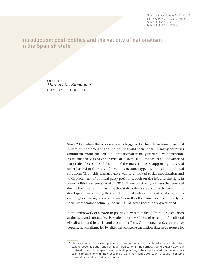DEBATS · Annual Review, 2 · 2017 — 7 doi: 10.28939/iam.debats-en.2017-1 ISSN 2530-898X (print) ISSN 2530-8262 (electronic)

## Introduction: post-politics and the validity of nationalism in the Spanish state

Coordinated by *Mariano M. Zamorano* CECUPS / UNIVERSITAT DE BARCELONA

> Since 2008, when the economic crisis triggered by the international financial system crunch brought about a political and social crisis in many countries around the world, the debate about nationalism has gained renewed attention. As in the analysis of other critical historical moments in the advance of nationalist forces, destabilisation of the material bases supporting the social order has led to the search for various national-type theoretical and political solutions. Thus, this scenario gave way to a marked social mobilisation and to displacement of political-party positions, both on the left and the right in many political systems (Kyriakos, 2015). Therefore, the hypotheses that emerged during the nineties, that assume that state systems are an obstacle to economic development—including theses on the end of history and neoliberal viewpoints on the global village (Fair, 2008)—,**<sup>1</sup>** as well as the Third Way as a remedy for social-democratic decline (Giddens, 2013), were thoroughly questioned.

> In the framework of a *return* to politics, new nationalist political projects, both at the state and substate levels, settled upon two forms of rejection of neoliberal globalisation and its social and economic effects. On the one hand, conservative populist nationalisms, led by elites that conceive the nation-state as a resource for

 <sup>1</sup> This is reflected in, for example, nation branding, which is considered to be a postmodern style of depoliticisation and social demobilisation in the domestic sphere (Lury, 2004). In contrast, from the perspective of publicity planning, it has been stated that *national* has scant compatibility with the marketing of *state* (Van Ham, 2001, p. 69), because it contains elements of political and social conflict.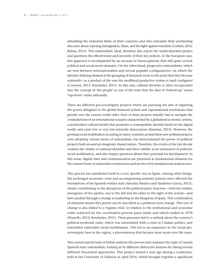rebuilding the industrial fabric of their countries and who articulate their scrutinising discourse about rejecting immigration, Islam, and the fight against terrorism (Corbett, 2016; Belina, 2013). This nationalistic ideal, therefore also rejects the multiculturalist project and questions the effectiveness and necessity of their key policies. In the European case, this approach is accompanied by an increase in Euroscepticism that still spans several political and social-sector domains. On the other hand, progressive nationalisms, which are torn between internationalism and several populist configurations—in which the identity-defining element is the grouping of demands (even to the point that they become scattered)—as a product of the way the neoliberal productive system is itself configured (Conversi, 2013; Rendueles, 2015). In this case, cultural diversity is often incorporated into the concept of 'the people' as one of the ways that the idea of 'bottom-up' versus 'top-down' exists nationally.

These are different pro-sovereignty projects which are pursuing the aim of regaining the power delegated to the global financial system and supranational institutions that preside over the current world order. Each of these projects initially had to navigate the contradictions of an international scenario characterised by a globalised economic system, a postmodern cultural model that promotes a cosmopolitan identity based on the digital world, and some low or very low-intensity democracies (Bauman, 2013). However, the growing social mobilisation occurring in many countries around these new political projects, now adopting various forms of nationalism, has demonstrated the power of political projects built around an imaginary shared nation. Therefore, the events of the last decade confirm the vitality of national identities and their validity as an instrument of politicalsocial mobilisation, and also reopen questions about their potential for development. In this sense, digital cities and communication are presented as fundamental elements for the current forms of nationalist construction and are two of its fundamental analysis axes.

This process has manifested itself in a very specific way in Spain. Among other things, the prolonged economic crisis and accompanying austerity policies have affected the foundations of the Spanish welfare state (Sánchez Medero and Tamboleo García, 2013), clearly contributing to the disruption of the political-party structure—with the sudden emergence of two parties, one to the left and the other to the right of the system—and have pushed through a change in leadership in the Kingdom of Spain. This combination of elements means this period can be described as a political-cycle change. This sort of change is also linked to a 'regime crisis' in relation to the institutional and economic order achieved by the constitutive-process pacts made and which ended in 1978 (Pisarello, 2014; Rendueles, 2015). These processes led to a rethink about the country's political-territorial order, which was interrelated with a crisis in Catalan politics, and intensified nationalist social mobilisation. This led to an expansion in the social prosovereignty base in the region, a phenomenon that became more acute over the years.

This current special issue of *Debats* analyses this process and examines the topic of current Spanish-state nationalism, looking at its different distinctive features by taking several different theoretical approaches. This project started a year ago during a conference held at the University of Valencia in April 2016, which brought together a significant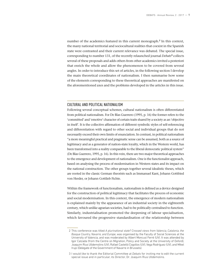number of the academics featured in this current monograph.**<sup>2</sup>** In this context, the many national territorial and sociocultural realities that coexist in the Spanish state were contrasted and their current relevance was debated. The special issue, corresponding to number 131, of the recently relaunched journal *Debats***<sup>3</sup>** collects several of these proposals and adds others from other academics invited a posteriori that enrich the whole and allow the phenomenon to be covered from several angles. In order to introduce this set of articles, in the following section I develop the main theoretical coordinates of nationalism. I then summarise how some of the elements corresponding to these theoretical approaches are manifested on the aforementioned axes and the problems developed in the articles in this issue.

#### CULTURAL AND POLITICAL NATIONALISM

Following several conceptual schemes, cultural nationalism is often differentiated from political nationalism. For De Blas Guerrero (1995, p. 16) the former refers to the 'committed' and 'emotive' character of certain traits shared by a society as an 'objective in itself'. It is the collective affirmation of different symbolic styles of self-referencing and differentiation with regard to other social and individual groups that do not necessarily exceed their own limits of enunciation. In contrast, in political nationalism "a more meaningful practical and pragmatic sense can be assumed, both as a source of legitimacy and as a generator of nation-state loyalty, which in the Western world, has been transformed into a reality comparable to the liberal democratic political system" (De Blas Guerrero, 1995, p. 16). In this vein, there are two major theoretical approaches to the emergence and development of nationalism. One is the functionalist approach, based on analysing the process of modernisation in Western states and its impact on the national construction. The other groups together several idealistic theses, which are rooted in the classic German theorists such as Immanuel Kant, Johann Gottfried von Herder, or Johann Gottlieb Fichte.

Within the framework of functionalism, nationalism is defined as a device designed for the construction of political legitimacy that facilitates the process of economic and social modernisation. In this context, the emergence of modern nationalism is explained mainly by the appearance of an industrial society in the eighteenth century, which unlike agrarian societies, had to be politically centralised to function. Similarly, industrialisation promoted the deepening of labour specialisation, which favoured the progressive standardisation of the relationship between

<sup>2</sup> This conference was titled *A plurinational state? Crossed views from Valencia, Catalonia, the Basque Country, Navarre, and Europe*, was organised by the Faculty of Social Sciences at the University of Valencia, and was moderated by Albert Moncusí Ferré (UV). It was attended by Igor Calzada (from the Centre on Migration, Policy and Society at the University of Oxford), Joaquim Rius Ulldemolins (UV), Rafael Castelló Cogollos (UV), Vega Rodríguez (UV), and Mikel Irujo (Delegate of the Government of Navarre in Brussels).

<sup>3</sup> I would like to thank the Editorial Committee at *Debats* for inviting me to edit the current special issue and in particular, its Director, Dr. Joaquim Rius Ulldemolins.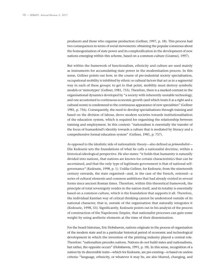producers and those who organise production (Gellner, 1997, p. 18). This process had two consequences in terms of social movements: obtaining the popular consensus about the homogenisation of state power and its complexification in the development of new nations emerging within this scheme, based on a common culture (Gramsci, 1997).

But within the framework of functionalism, ethnicity and culture are used mainly as instruments for accumulating state power in the modernisation process. In this sense, Gellner points out how, in the course of pre-industrial society specialisation, occupational mobility is inhibited by ethnic or cultural factors that act as in a segmental way in each of these groups; to get to that point, mobility must destroy symbolic models or 'stereotypes' (Gellner, 1981, 755). Therefore, there is a marked contrast in the organisational dynamics developed by "a society with inherently unstable technology, and one accustomed to continuous economic growth (and which treats it as a right and a cultural norm) is condemned to the continuous appearance of new specialities" (Gellner 1981, p. 756). Consequently, the need to develop specialisations through training and based on the division of labour, drove modern societies towards institutionalisation of the education system, which is required for organising the relationship between training and employment. In this context: "nationalism is essentially the transfer of the focus of humankind's identity towards a culture that is mediated by literacy and a comprehensive formal education system" (Gellner, 1981, p. 757).

As opposed to the idealistic side of nationalistic theory—also defined as *primordialist*— Elie Kedourie sets the foundations of what he calls a nationalist doctrine, within a historical-ideological perspective. He also states: "it holds that humanity is naturally divided into nations, that nations are known for certain characteristics that can be ascertained, and that the only type of legitimate government is that of national selfgovernance" (Kedourie, 1998, p. 1). Unlike Gellner, for Kedourie, from the nineteenth century onwards, the state organised—and, in the case of the French, restored—a series of cultural elements and common ambitions that had already existed in several forms since ancient Roman times. Therefore, within this theoretical framework, the principle of total sovereignty resides in the nation itself, and its totality is essentially based on a common culture, which is the foundation that supports it all. Therefore, the individual Kantian way of critical thinking cannot be understood outside of its national character, that is, outside of the organisation that naturally integrates it (Kedourie, 1998, 33). Significantly, Kedourie points out in his analysis of the process of construction of the Napoleonic Empire, that nationalist processes can gain some weight by using aesthetic elements at the time of their dissemination.

For the Israeli historian, Eric Hobsbawm, nations originate in the process of organisation of the modern state and in a particular historical period of economic and technological development in which the invention of the printing industry played a central role. Therefore: "nationalism precedes nations. Nations do not build states and nationalisms, but rather, the opposite occurs" (Hobsbawm, 1991, p. 18). In this sense, recognition of a nation by its discernible traits—which for Kedourie, are pre-existing—is based on useless criteria: "language, ethnicity, or whatever it may be, are also blurred, changing, and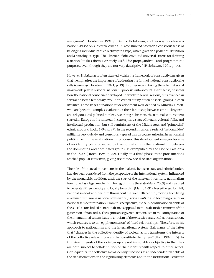ambiguous" (Hobsbawm, 1991, p. 14). For Hobsbawm, another way of defining a nation is based on subjective criteria. It is constructed based on a conscious sense of belonging individually or collectively to a type, which gives an a posteriori definition and a tautological type. This absence of objective and universal criteria for defining a nation "makes them extremely useful for propagandistic and programmatic purposes, even though they are not very descriptive" (Hobsbawm, 1991, p. 14).

However, Hobsbawn is often situated within the framework of constructivism, given that it emphasises the importance of addressing the form of national construction he calls *bottom-up* (Hobsbawm, 1991, p. 19). In other words, taking the role that social movements play in historical nationalist processes into account. In this sense, he shows how the national conscience developed unevenly in several regions, but advanced in several phases; a temporary evolution carried out by different social groups in each instance. These stages of nationalist development were defined by Miroslav Hroch, who analysed the complex evolution of the relationship between ethnic (linguistic and religious) and political borders. According to his view, the nationalist movement started in Europe in the nineteenth century, in a stage of literary, cultural (folk), and intellectual production, but still reminiscent of the Middle Ages and 'primordial' ethnic groups (Hroch, 1994, p. 47). In the second instance, a series of 'national idea' militants very quickly and consciously spread this discourse, ushering in nationalist politics itself. In several nationalist processes, this development emerges because of an identity crisis, provoked by transformations in the relationships between the dominating and dominated groups, as exemplified by the case of Catalonia in the 1870s (Hroch, 1994, p. 52). Finally, in a third phase, these proclamations reached popular consensus, giving rise to new social or state organisations.

The role of the social movements in the dialectic between state and ethnic borders has also been considered from the perspective of the international system. Influenced by the monarchic tradition, until the start of the nineteenth century, nationalism functioned as a legal mechanism for legitimising the state (Marx, 2009) and was used to generate citizen identity and loyalty towards it (Mann, 1991). Nevertheless, for Hall, nationalism took another form throughout the twentieth century, moving from being an element sustaining national sovereignty (*a rason d'etat*) to also becoming a factor in national self-determination. From this perspective, the self-identification variable of the social actors linked to nationalism, is opposed to the realistic determinism of the generation of state order. The significance given to nationalism in the configuration of the international system leads to criticism of the excessive analytical nationalisation, which reduces it to an 'epiphenomenon' of 'hard relationships'. Therefore, in his approach to nationalism and the international system, Hall warns of the latter that "changes in the collective identity of societal actors transforms the interests of the collective relevant players that constitute the system" (Hall, 1999, p. 5). In this view, interests of the social group are not immutable or objective in that they are both subject to self-definition of their identity with respect to other actors. Consequently, the collective social identity functions as an independent variable of the transformations in the legitimising elements and in the institutional structure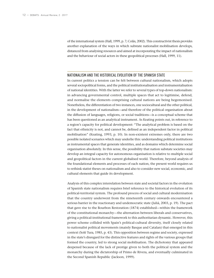of the international system (Hall, 1999, p. 7; Colás, 2002). This constructivist thesis provides another explanation of the ways in which substate nationalist mobilisation develops, distanced from analysing resources and aimed at incorporating the impact of nationalism and the behaviour of social actors in these geopolitical processes (Hall, 1999, 11).

#### NATIONALISM AND THE HISTORICAL EVOLUTION OF THE SPANISH STATE

In current politics a tension can be felt between cultural nationalism, which adopts several sociopolitical forms, and the political institutionalisation and instrumentalisation of national identities. With the latter we refer to several types of top-down nationalism: in advancing governmental control, multiple spaces that act to legitimise, defend, and normalise the elements comprising cultural nations are being hegemonised. Nonetheless, the differentiation of two instances, one sociocultural and the other political, in the development of nationalism—and therefore of the political organisation about the diffusion of languages, religions, or social traditions—is a conceptual scheme that has been questioned as an analytical instrument. As Keating points out, in reference to a region's capacity for political development: "The analytical problem is based on the fact that ethnicity is not, and cannot be, defined as an independent factor in political mobilisation" (Keating, 1993, p. 10). In non-existent extremes only, there are two possible isolated scenarios which may underlie this: understanding political institutions as instrumental spaces that generate identities, and as domains which determine social organisation absolutely. In this sense, the possibility that nation substate societies may develop an integral capacity for autonomous organisation is relative to multiple social and geopolitical factors in the current globalised world. Therefore, beyond analysis of the foundational elements and processes of each nation, the present world requires us to rethink statist theses on nationalism and also to consider new social, economic, and cultural elements that guide its development.

Analysis of this complex interrelation between state and societal factors in the evolution of Spanish state nationalism requires brief reference to the historical evolution of its political-territorial system. The profound process of social and cultural modernisation that the country underwent from the nineteenth century onwards encountered a serious barrier in the reactionary and undemocratic state (Juliá, 2003, p. 19). The pact that gave rise to the Bourbon Restoration (1874) established—within the framework of the constitutional monarchy—the alternation between liberals and conservatives, giving a political-institutional framework to this authoritarian dynamic. However, this power scheme collided with Spain's political-cultural diversity, itself closely related to nationalist political movements (mainly Basque and Catalan) that emerged in this context (Solé Tura, 1985, p. 43). This opposition between regime and society, expressed in the state's disregard for the distinctive features and rights of the various groups that formed the country, led to strong social mobilisation. The dichotomy that appeared deepened because of the lack of prestige given to both the political system and the monarchy during the dictatorship of Primo de Rivera, and eventually culminated in the Second Spanish Republic (Jackson, 1999).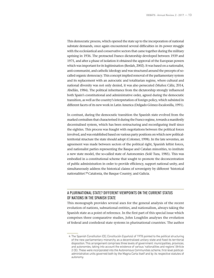This democratic process, which opened the state up to the incorporation of national substate demands, once again encountered several difficulties in its power struggle with the ecclesiastical and conservative sectors that came together during the military uprising in 1936. The protracted Franco dictatorship developed between 1939 and 1975, and after a phase of isolation it obtained the approval of the European powers which was important for its legitimisation (Berdah, 2002). It was based on a nationalist, anti-communist, and catholic ideology and was structured around the precepts of socalled organic democracy. This concept implied removal of the parliamentary system and its replacement with an autocratic and totalitarian regime, where cultural and national diversity was not only denied, it was also persecuted (Muñoz Cáliz, 2014, Abellán, 1984). The political inheritance from the dictatorship strongly influenced both Spain's constitutional and administrative order, agreed during the democratic transition, as well as the country's interpretation of foreign policy, which subsisted in different facets of its new work in Latin America (Delgado Gómez-Escalonilla, 1991).

In contrast, during the democratic transition the Spanish state evolved from the marked centralism that characterised it during the Franco regime, towards a manifestly decentralised system, which has been restructuring and reconfiguring itself since the eighties. This process was fraught with negotiations between the political forces involved, and was established based on various party positions on which new politicalterritorial structure the state should adopt (Colomer, 1998). In the late seventies, an agreement was made between sectors of the political right, Spanish leftist forces, and nationalist parties representing the Basque and Catalan minorities, to institute a new state model, the so-called state of Autonomies (Solé Tura, 1985). This was embodied in a constitutional scheme that sought to promote the deconcentration of public administration in order to provide efficiency, support national unity, and simultaneously address the historical claims of sovereignty by different 'historical nationalities':**<sup>4</sup>** Catalonia, the Basque Country, and Galicia.

### A PLURINATIONAL STATE? DIFFERENT VIEWPOINTS ON THE CURRENT STATUS OF NATIONS IN THE SPANISH STATE

This monograph provides several axes for the general analysis of the recent evolution of nations, subnational entities, and nationalism, always taking the Spanish state as a point of reference. In the first part of this special issue which comprises three comparative studies, John Loughlin analyses the evolution of federal and confederal state systems in plurinational countries. The author

<sup>4</sup> The Spanish Constitution (CE; *Constitución Española*) of 1978 pointed to the political structuring of the new parliamentary monarchy as a decentralised unitary state and fixed its territorial disposition. This arrangement comprises three levels of government: municipalities, provinces, and autonomies, taking into account the existence of various 'nationalities and regions' (Article 2 CE). These were incorporated into the Autonomous Communities scheme, first-level politicaladministrative units governed both by the Magna Carta itself and by its respective statutes of autonomy.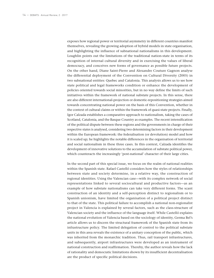exposes how regional power or territorial asymmetry in different countries manifest themselves, revealing the growing adoption of hybrid models in state organisation, and highlighting the influence of subnational nationalisms in this development. Loughlin points out the limitations of the traditional nation-state in terms of its recognition of internal cultural diversity and in exercising the values of liberal democracy, and conceives new forms of governance as possible future projects. On the other hand, Diane Saint-Pierre and Alexandre Couture Gagnon analyse the differential deployment of the Convention on Cultural Diversity (2005) in two subnational entities: Quebec and Catalonia. This analysis allows us to see how state political and legal frameworks condition or enhance the development of policies oriented towards social minorities, but in no way define the limits of such initiatives within the framework of national substate projects. In this sense, there are also different international-projection or domestic-repositioning strategies aimed towards concentrating national power on the basis of this Convention, whether in the context of cultural claims or within the framework of quasi-state projects. Finally, Igor Calzada establishes a comparative approach to nationalism, taking the cases of Scotland, Catalonia, and the Basque Country as examples. The recent intensification of the political dispute between these regions and the governments in charge of their respective states is analysed, considering two determining factors in their development within the European framework: the federalisation (or devolution) model and how it is scaled up; he highlights the notable differences in the organisation of territorial and social nationalism in these three cases. In this context, Calzada identifies the development of innovative solutions to the accumulation of substate political power, which counteracts the increasingly 'post-national' character of their large cities.

In the second part of this special issue, we focus on the realm of national realities within the Spanish state. Rafael Castelló considers how the styles of relationships between state and society determine, in a relative way, the construction of regional identities. Using the Valencian case—with its complex network of social representations linked to several sociocultural and productive factors—as an example of how substate nationalisms can take very different forms. The scant construction of an identity and a self-perception distinct to regionalism or to Spanish unionism, have limited the organisation of a political project distinct to that of the state. This political failure to accomplish a national non-regionalist project in Valencia is explained by several factors, such as the class-structure of Valencian society and the influence of the language itself. While Castelló explains the national evolution of Valencia based on the sociology of identity, Germa Bel's article allows us to discern the structural framework of the Spanish state from its infrastructure policy. The limited delegation of control to the political substate units in this area reveals the existence of a unitary conception of the public, which was inherited from the monarchic tradition. Thus, rail transport infrastructures, and subsequently, airport infrastructures were developed as an instrument of national construction and reaffirmation. Thereby, the author reveals how the lack of rationality and democratic limitations shown by its insufficient decentralisation are the product of specific political decisions.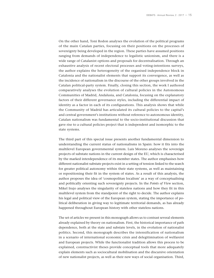On the other hand, Toni Rodon analyses the evolution of the political programs of the main Catalan parties, focusing on their positions on the processes of sovereignty being developed in the region. These parties have assumed positions ranging from demands of independence to legalistic unionism, and there is a wide range of Catalanist options and proposals for decentralisation. Through an exhaustive analysis of recent electoral processes and voting-intentions surveys, the author explains the heterogeneity of the organised independence block in Catalonia and the nationalist elements that support its convergence, as well as the incidence of nationalism in the discourse of the other groups involved in the Catalan political-party system. Finally, closing this section, the work I authored comparatively analyses the evolution of cultural policies in the Autonomous Communities of Madrid, Andalusia, and Catalonia, focusing on the explanatory factors of their different governance styles, including the differential impact of identity as a factor in each of its configurations. This analysis shows that while the Community of Madrid has articulated its cultural policies to the capital's and central government's institutions without reference to autonomous identity, Catalan nationalism was fundamental to the socio-institutional discussion that gave rise to a cultural policies project that is independent and isomorphic to the state systems.

The third part of this special issue presents another fundamental dimension to understanding the current status of nationalisms in Spain: how it fits into the multilevel European governmental system. Luis Moreno analyses the sovereign projects of substate nations in the current design of the EU, which is characterised by the marked interdependence of its member states. The author emphasises how different nationalist substate projects exist in a setting of tension linked to the search for greater political autonomy within their state systems, as well as maintaining or repositioning their fit in the system of states. As a result of this analysis, the author proposes the idea of 'cosmopolitan localism' as a way of conceptualising and politically orienting such sovereignty projects. In the *Points of View* section, Mikel Irujo analyses the singularity of stateless nations and how they fit in this multilevel system from the standpoint of the right to decide. The author explains his legal and political view of the European system, stating the importance of political deliberation in giving way to legitimate territorial demands, as has already happened throughout European history with other stateless nations.

The set of articles we present in this monograph allows us to contrast several elements already explained by theory on nationalism. First, the historical importance of path dependence, both at the state and substate levels, in the evolution of nationalist politics. Second, this monograph describes the intensification of nationalism in a scenario of international economic crisis and delegitimisation of welfareist and European projects. While the functionalist tradition allows this process to be explained, constructivist theses provide conceptual tools that more adequately explain elements such as sociocultural mobilisation and the discursive orientation of new nationalist projects, as well as their new ways of social organisation. Third,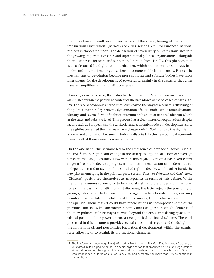the importance of multilevel governance and the strengthening of the fabric of transnational institutions (networks of cities, regions, etc.) for European national projects is elaborated upon. The delegation of sovereignty by states translates into the growing importance of cities and supranational political organisations—alongside their discourse—for state and subnational nationalism. Finally, this phenomenon is also favoured by digital communication, which transforms urban areas into nodes and international organisations into more viable interlocutors. Hence, the mechanisms of devolution become more complex and substate bodies have more instruments for the development of sovereignty, mainly in the capacity that cities have as 'amplifiers' of nationalist processes.

However, as we have seen, the distinctive features of the Spanish case are diverse and are situated within the particular context of the breakdown of the so-called consensus of '78. The recent economic and political crisis paved the way for a general rethinking of the political-territorial system, the dynamisation of social mobilisation around national identity, and several forms of political instrumentalisation of national identities, both at the state and substate level. This process has a clear historical explanation: despite factors such as Europeanism, the territorial and economic models in development since the eighties presented themselves as being hegemonic in Spain, and so the signifiers of a homeland and nation became historically disputed. In the new political-economic scenario all of these elements were contested.

On the one hand, this scenario led to the emergence of new social actors, such as the PAH**<sup>5</sup>**, and to significant change in the strategies of political action of sovereign forces in the Basque country. However, in this regard, Catalonia has taken centre stage; it has made decisive progress in the institutionalisation of its demands for independence and in favour of the so-called right to decide. On the other hand, the new players emerging in the political-party system, *Podemos* (We can) and *Ciudadanos* (Citizens), positioned themselves as antagonists in terms of this debate. While the former assumes sovereignty to be a social right and prescribes a plurinational state on the basis of constitutionalist discourse, the latter rejects the possibility of giving greater power to historical nations. Again, in functionalist terms, one may wonder how the future evolution of the economy, the productive system, and the Spanish labour market could have repercussions in recomposing some of the previous consensus. In constructivist terms, one can question which elements of the new political culture might survive beyond the crisis, translating spaces and critical positions into power or into a new political-territorial scheme. The work presented in this document provides several clues in this regard and sheds light on the limitations of, and possibilities for, national development within the Spanish state, allowing us to rethink its plurinational character.

<sup>5</sup> The Platform for those [negatively] Affected by Mortgages or PAH (for *Plataforma de Afectados por la Hipoteca* in its original Spanish) is a social organisation that produces political and legal actions aimed at defending the rights of families and individuals evicted from their homes in Spain. It was established in Barcelona in February 2009 and currently has more than 150 delegations in the territory.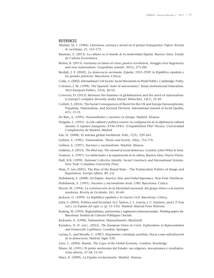#### **REFERENCES**

- Abellán, M. L. (1984). Literatura, censura y moral en el primer franquismo. *Papers: Revista de sociologia*, *21*, 153-172.
- Bauman, Z. (2013). *La cultura en el mundo de la modernidad líquida*. Buenos Aires: Fondo de Cultura Económica.
- Belina, B. (2013). Germany in times of crisis: passive revolution, struggle over hegemony and new nationalism. *Geografiska Annaler*, *95*(3), 275-285.
- Berdah, J. F. (2002). *La democracia asesinada: España, 1931-1939: la República española y las grandes potencias*. Barcelona: Crítica.
- Colàs, A. (2002). *International Civil Society: Social Movements in World Politics*. Cambridge: Polity.
- Colomer, J. M. (1998). The Spanish 'state of autonomies': Senar-institutional federalism. *West European Politics*, *21*(4), 40-52.
- Conversi, D. (2013). Between the hammer of globalization and the anvil of nationalism: Is Europe's complex diversity under threat? *Ethnicities*, *14*(1), 25-49.
- Corbett, S. (2016). The Social Consequences of Brexit for the UK and Europe Euroscepticism, Populism, Nationalism, and Societal Division. *International Journal of Social Quality*, *6*(1), 11-31.
- De Blas, A. (1995). *Nacionalismos y naciones en Europa*. Madrid: Alianza.
- Delgado, L. (1991). *Acción cultural y política exterior: la configuración de la diplomacia cultural durante el régimen franquista* (1936-1945). (Unpublished PhD Thesis). Universidad Complutense de Madrid, Madrid.
- Fair, H. (2008). El sistema global neoliberal. *Polis*, *7*(21), 229-263.
- Gellner, E. (1981). Nationalism. *Theory and Society*, *10*(6), 753-776.
- Gellner, E. (1997). *Naciones y nacionalismo*. Madrid: Alianza.
- Giddens, A. (2013). *The third way: The renewal of social democracy*. London: John Wiley & Sons.
- Gramsci, A. (1997). *Los intelectuales y la organización de la cultura*. Buenos Aires: Nueva Visión.
- Hall, R.B. (1999). *National Collective Identity: Social Constructs and International Systems*. New York: Columbia University Press.
- Ham, P. van (2001). The Rise of the Brand State The Postmodern Politics of Image and Reputation. *Foreign Affairs*, *80*, 2-6.
- Hobsbawm, E. (2008). *On Empire: America, War, and Global Supremacy*. New York: Pantheon.
- Hobsbawm, E. (1991). *Naciones y nacionalismo desde 1780*. Barcelona: Crítica.
- Hroch, M. (1994). La construcción de la identidad nacional: del grupo étnico a la nación moderna. *Revista de Occidente*, *161*, 45-60.
- Jackson, G. (1999). *La República española y la Guerra Civil*. Barcelona: Crítica.
- Juliá, S. (2003). Política and Sociedad. In J. Santos, J. L. García, J. C. Jiménez, and J. P. Fusi (ed.), *La España del siglo xx* (p. 15-132). Madrid: Marcial Pons Historia.
- Keating, M. (1993). Regionalismo, autonomía y regímenes internacionales. *Working papers 66*. Barcelona: Institut de Ciències Polítiques i Socials.
- Kedourie, E. (1998). *Nationalism*. Massachusetts: Blackwell.
- Kyriakos, N. D. (ed.). (2015). *The European Union in Crisis. Explorations in Representation and Democratic Legitimacy*. London: Springer.
- Laclau, E., and Mouffe, C. (1987). *Hegemonía y estrategia socialista. Hacia a una radicalización de la democracia*. Madrid: Siglo XXI.
- Lury, C. (2004). *Brands. The Logos of the Global Economy*. London: Routledge.
- Mann, M. (1991). El poder autónomo del Estado: sus orígenes, mecanismos y resultados. *Zona abierta*, *57-58*, 15-50.
- Marx, K. (2009). *La España revolucionaria*. Madrid: Alianza.